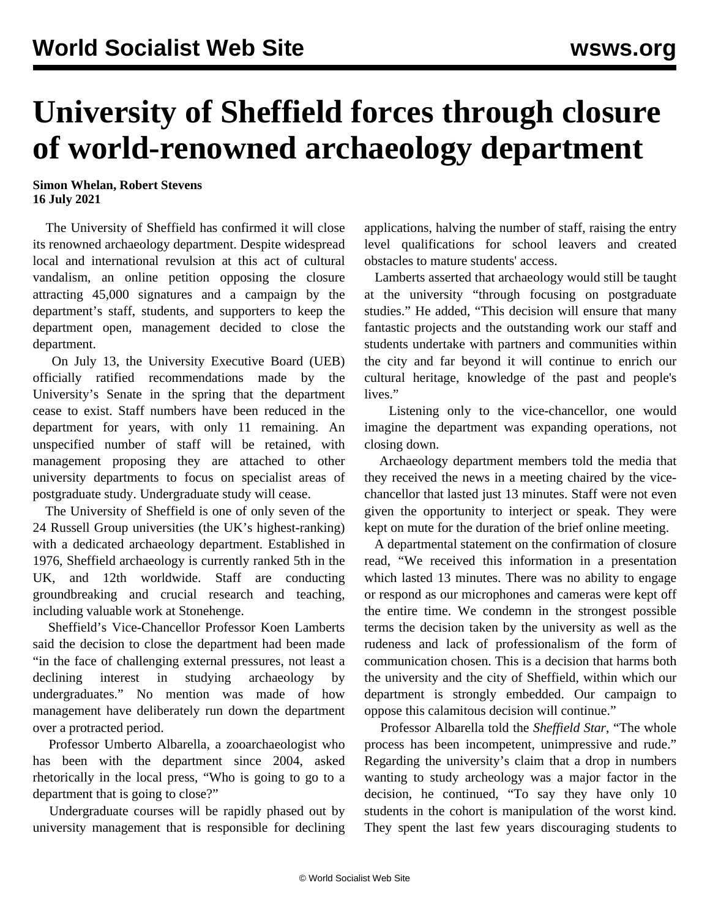## **University of Sheffield forces through closure of world-renowned archaeology department**

**Simon Whelan, Robert Stevens 16 July 2021**

 The University of Sheffield has confirmed it will close its renowned archaeology department. Despite widespread local and international revulsion at this act of cultural vandalism, an online petition opposing the closure attracting 45,000 signatures and a campaign by the department's staff, students, and supporters to keep the department open, management decided to close the department.

 On July 13, the University Executive Board (UEB) officially ratified recommendations made by the University's Senate in the spring that the department cease to exist. Staff numbers have been reduced in the department for years, with only 11 remaining. An unspecified number of staff will be retained, with management proposing they are attached to other university departments to focus on specialist areas of postgraduate study. Undergraduate study will cease.

 The University of Sheffield is one of only seven of the 24 Russell Group universities (the UK's highest-ranking) with a dedicated archaeology department. Established in 1976, Sheffield archaeology is currently ranked 5th in the UK, and 12th worldwide. Staff are conducting groundbreaking and crucial research and teaching, including valuable work at Stonehenge.

 Sheffield's Vice-Chancellor Professor Koen Lamberts said the decision to close the department had been made "in the face of challenging external pressures, not least a declining interest in studying archaeology by undergraduates." No mention was made of how management have deliberately run down the department over a protracted period.

 Professor Umberto Albarella, a zooarchaeologist who has been with the department since 2004, asked rhetorically in the local press, "Who is going to go to a department that is going to close?"

 Undergraduate courses will be rapidly phased out by university management that is responsible for declining applications, halving the number of staff, raising the entry level qualifications for school leavers and created obstacles to mature students' access.

 Lamberts asserted that archaeology would still be taught at the university "through focusing on postgraduate studies." He added, "This decision will ensure that many fantastic projects and the outstanding work our staff and students undertake with partners and communities within the city and far beyond it will continue to enrich our cultural heritage, knowledge of the past and people's lives."

 Listening only to the vice-chancellor, one would imagine the department was expanding operations, not closing down.

 Archaeology department members told the media that they received the news in a meeting chaired by the vicechancellor that lasted just 13 minutes. Staff were not even given the opportunity to interject or speak. They were kept on mute for the duration of the brief online meeting.

 A departmental statement on the confirmation of closure read, "We received this information in a presentation which lasted 13 minutes. There was no ability to engage or respond as our microphones and cameras were kept off the entire time. We condemn in the strongest possible terms the decision taken by the university as well as the rudeness and lack of professionalism of the form of communication chosen. This is a decision that harms both the university and the city of Sheffield, within which our department is strongly embedded. Our campaign to oppose this calamitous decision will continue."

 Professor Albarella told the *Sheffield Star*, "The whole process has been incompetent, unimpressive and rude." Regarding the university's claim that a drop in numbers wanting to study archeology was a major factor in the decision, he continued, "To say they have only 10 students in the cohort is manipulation of the worst kind. They spent the last few years discouraging students to